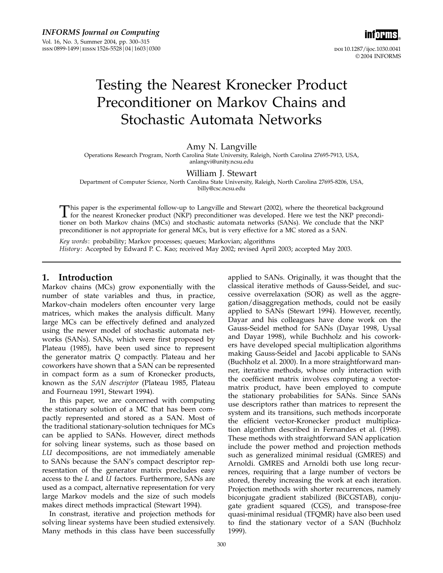

# Testing the Nearest Kronecker Product Preconditioner on Markov Chains and Stochastic Automata Networks

### Amy N. Langville

Operations Research Program, North Carolina State University, Raleigh, North Carolina 27695-7913, USA, anlangvi@unity.ncsu.edu

### William J. Stewart

Department of Computer Science, North Carolina State University, Raleigh, North Carolina 27695-8206, USA, billy@csc.ncsu.edu

This paper is the experimental follow-up to Langville and Stewart (2002), where the theoretical background<br>for the nearest Kronecker product (NKP) preconditioner was developed. Here we test the NKP precondi-<br>tioner on both tioner on both Markov chains (MCs) and stochastic automata networks (SANs). We conclude that the NKP preconditioner is not appropriate for general MCs, but is very effective for a MC stored as a SAN.

Key words: probability; Markov processes; queues; Markovian; algorithms History: Accepted by Edward P. C. Kao; received May 2002; revised April 2003; accepted May 2003.

### 1. Introduction

Markov chains (MCs) grow exponentially with the number of state variables and thus, in practice, Markov-chain modelers often encounter very large matrices, which makes the analysis difficult. Many large MCs can be effectively defined and analyzed using the newer model of stochastic automata networks (SANs). SANs, which were first proposed by Plateau (1985), have been used since to represent the generator matrix Q compactly. Plateau and her coworkers have shown that a SAN can be represented in compact form as a sum of Kronecker products, known as the SAN descriptor (Plateau 1985, Plateau and Fourneau 1991, Stewart 1994).

In this paper, we are concerned with computing the stationary solution of a MC that has been compactly represented and stored as a SAN. Most of the traditional stationary-solution techniques for MCs can be applied to SANs. However, direct methods for solving linear systems, such as those based on LU decompositions, are not immediately amenable to SANs because the SAN's compact descriptor representation of the generator matrix precludes easy access to the L and U factors. Furthermore, SANs are used as a compact, alternative representation for very large Markov models and the size of such models makes direct methods impractical (Stewart 1994).

In constrast, iterative and projection methods for solving linear systems have been studied extensively. Many methods in this class have been successfully

applied to SANs. Originally, it was thought that the classical iterative methods of Gauss-Seidel, and successive overrelaxation (SOR) as well as the aggregation/disaggregation methods, could not be easily applied to SANs (Stewart 1994). However, recently, Dayar and his colleagues have done work on the Gauss-Seidel method for SANs (Dayar 1998, Uysal and Dayar 1998), while Buchholz and his coworkers have developed special multiplication algorithms making Gauss-Seidel and Jacobi applicable to SANs (Buchholz et al. 2000). In a more straightforward manner, iterative methods, whose only interaction with the coefficient matrix involves computing a vectormatrix product, have been employed to compute the stationary probabilities for SANs. Since SANs use descriptors rather than matrices to represent the system and its transitions, such methods incorporate the efficient vector-Kronecker product multiplication algorithm described in Fernandes et al.  $(1998)$ . These methods with straightforward SAN application include the power method and projection methods such as generalized minimal residual (GMRES) and Arnoldi. GMRES and Arnoldi both use long recurrences, requiring that a large number of vectors be stored, thereby increasing the work at each iteration. Projection methods with shorter recurrences, namely biconjugate gradient stabilized (BiCGSTAB), conjugate gradient squared (CGS), and transpose-free quasi-minimal residual (TFQMR) have also been used to find the stationary vector of a SAN (Buchholz 1999).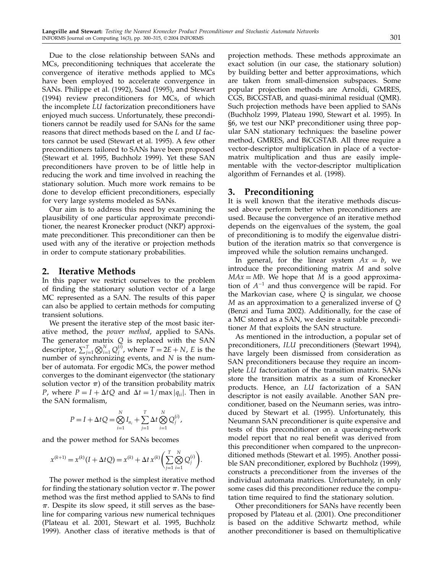Due to the close relationship between SANs and MCs, preconditioning techniques that accelerate the convergence of iterative methods applied to MCs have been employed to accelerate convergence in SANs. Philippe et al. (1992), Saad (1995), and Stewart (1994) review preconditioners for MCs, of which the incomplete LU factorization preconditioners have enjoyed much success. Unfortunately, these preconditioners cannot be readily used for SANs for the same reasons that direct methods based on the L and U factors cannot be used (Stewart et al. 1995). A few other preconditioners tailored to SANs have been proposed (Stewart et al. 1995, Buchholz 1999). Yet these SAN preconditioners have proven to be of little help in reducing the work and time involved in reaching the stationary solution. Much more work remains to be done to develop efficient preconditioners, especially for very large systems modeled as SANs.

Our aim is to address this need by examining the plausibility of one particular approximate preconditioner, the nearest Kronecker product (NKP) approximate preconditioner. This preconditioner can then be used with any of the iterative or projection methods in order to compute stationary probabilities.

### 2. Iterative Methods

In this paper we restrict ourselves to the problem of finding the stationary solution vector of a large MC represented as a SAN. The results of this paper can also be applied to certain methods for computing transient solutions.

We present the iterative step of the most basic iterative method, the power method, applied to SANs. The generator matrix  $Q$  is replaced with the SAN descriptor,  $\sum_{j=1}^{T} \bigotimes_{i=1}^{N} Q_j^{(i)}$ , where  $T = 2E + N$ , E is the number of synchronizing events, and N is the number of automata. For ergodic MCs, the power method converges to the dominant eigenvector (the stationary solution vector  $\pi$ ) of the transition probability matrix *P*, where  $P = I + \Delta t Q$  and  $\Delta t = 1/\max |q_{ii}|$ . Then in the SAN formalism,

$$
P = I + \Delta t Q = \bigotimes_{i=1}^{N} I_{n_i} + \sum_{j=1}^{T} \Delta t \bigotimes_{i=1}^{N} Q_j^{(i)},
$$

and the power method for SANs becomes

$$
x^{(k+1)} = x^{(k)}(I + \Delta t Q) = x^{(k)} + \Delta t x^{(k)} \left( \sum_{j=1}^{T} \bigotimes_{i=1}^{N} Q_j^{(i)} \right).
$$

The power method is the simplest iterative method for finding the stationary solution vector  $\pi$ . The power method was the first method applied to SANs to find  $\pi$ . Despite its slow speed, it still serves as the baseline for comparing various new numerical techniques (Plateau et al. 2001, Stewart et al. 1995, Buchholz 1999). Another class of iterative methods is that of projection methods. These methods approximate an exact solution (in our case, the stationary solution) by building better and better approximations, which are taken from small-dimension subspaces. Some popular projection methods are Arnoldi, GMRES, CGS, BiCGSTAB, and quasi-minimal residual (QMR). Such projection methods have been applied to SANs (Buchholz 1999, Plateau 1990, Stewart et al. 1995). In §6, we test our NKP preconditioner using three popular SAN stationary techniques: the baseline power method, GMRES, and BiCGSTAB. All three require a vector-descriptor multiplication in place of a vectormatrix multiplication and thus are easily implementable with the vector-descriptor multiplication algorithm of Fernandes et al. (1998).

### 3. Preconditioning

It is well known that the iterative methods discussed above perform better when preconditioners are used. Because the convergence of an iterative method depends on the eigenvalues of the system, the goal of preconditioning is to modify the eigenvalue distribution of the iteration matrix so that convergence is improved while the solution remains unchanged.

In general, for the linear system  $Ax = b$ , we introduce the preconditioning matrix M and solve  $MAX = Mb$ . We hope that M is a good approximation of  $A^{-1}$  and thus convergence will be rapid. For the Markovian case, where Q is singular, we choose M as an approximation to a generalized inverse of Q (Benzi and Tuma 2002). Additionally, for the case of a MC stored as a SAN, we desire a suitable preconditioner M that exploits the SAN structure.

As mentioned in the introduction, a popular set of preconditioners, ILU preconditioners (Stewart 1994), have largely been dismissed from consideration as SAN preconditioners because they require an incomplete LU factorization of the transition matrix. SANs store the transition matrix as a sum of Kronecker products. Hence, an LU factorization of a SAN descriptor is not easily available. Another SAN preconditioner, based on the Neumann series, was introduced by Stewart et al. (1995). Unfortunately, this Neumann SAN preconditioner is quite expensive and tests of this preconditioner on a queueing-network model report that no real benefit was derived from this preconditioner when compared to the unpreconditioned methods (Stewart et al. 1995). Another possible SAN preconditioner, explored by Buchholz (1999), constructs a preconditioner from the inverses of the individual automata matrices. Unfortunately, in only some cases did this preconditioner reduce the computation time required to find the stationary solution.

Other preconditioners for SANs have recently been proposed by Plateau et al. (2001). One preconditioner is based on the additive Schwartz method, while another preconditioner is based on themultiplicative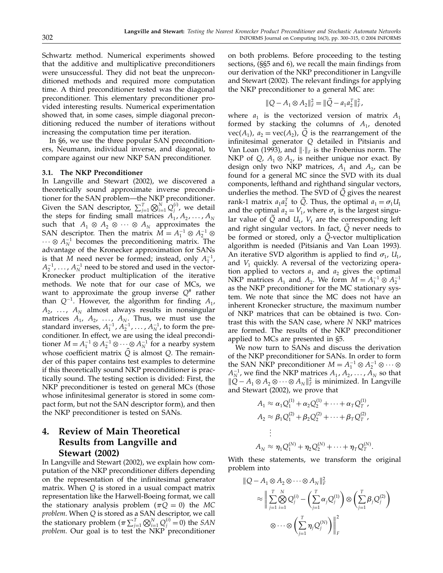Schwartz method. Numerical experiments showed that the additive and multiplicative preconditioners were unsuccessful. They did not beat the unpreconditioned methods and required more computation time. A third preconditioner tested was the diagonal preconditioner. This elementary preconditioner provided interesting results. Numerical experimentation showed that, in some cases, simple diagonal preconditioning reduced the number of iterations without increasing the computation time per iteration.

In §6, we use the three popular SAN preconditioners, Neumann, individual inverse, and diagonal, to compare against our new NKP SAN preconditioner.

### 3.1. The NKP Preconditioner

In Langville and Stewart (2002), we discovered a theoretically sound approximate inverse preconditioner for the SAN problem—the NKP preconditioner. Given the SAN descriptor,  $\sum_{j=1}^{T} \bigotimes_{i=1}^{N} Q_j^{(i)}$ , we detail the steps for finding small matrices  $A_1, A_2, \ldots, A_N$ such that  $A_1 \otimes A_2 \otimes \cdots \otimes A_N$  approximates the SAN descriptor. Then the matrix  $M = A_1^{-1} \otimes A_2^{-1} \otimes$  $\cdots \otimes A_N^{-1}$  becomes the preconditioning matrix. The advantage of the Kronecker approximation for SANs is that M need never be formed; instead, only  $A_1^{-1}$ ,  $A_2^{-1}, \ldots, A_N^{-1}$  need to be stored and used in the vector-Kronecker product multiplication of the iterative methods. We note that for our case of MCs, we want to approximate the group inverse  $Q^*$  rather than  $Q^{-1}$ . However, the algorithm for finding  $A_1$ ,  $A_2$ , ...,  $A_N$  almost always results in nonsingular matrices  $A_1$ ,  $A_2$ , ...,  $A_N$ . Thus, we must use the standard inverses,  $A_1^{-1}$ ,  $A_2^{-1}$ , ...,  $A_N^{-1}$ , to form the preconditioner. In effect, we are using the ideal preconditioner  $M = A_1^{-1} \otimes A_2^{-1} \otimes \cdots \otimes A_N^{-1}$  for a nearby system whose coefficient matrix  $Q$  is almost  $Q$ . The remainder of this paper contains test examples to determine if this theoretically sound NKP preconditioner is practically sound. The testing section is divided: First, the NKP preconditioner is tested on general MCs (those whose infinitesimal generator is stored in some compact form, but not the SAN descriptor form), and then the NKP preconditioner is tested on SANs.

# 4. Review of Main Theoretical Results from Langville and Stewart (2002)

In Langville and Stewart (2002), we explain how computation of the NKP preconditioner differs depending on the representation of the infinitesimal generator matrix. When  $Q$  is stored in a usual compact matrix representation like the Harwell-Boeing format, we call the stationary analysis problem ( $\pi Q = 0$ ) the MC problem. When Q is stored as a SAN descriptor, we call the stationary problem  $(\pi \sum_{j=1}^T \bigotimes_{i=1}^N Q_j^{(i)} = 0)$  the SAN problem. Our goal is to test the NKP preconditioner

on both problems. Before proceeding to the testing sections, (§§5 and 6), we recall the main findings from our derivation of the NKP preconditioner in Langville and Stewart (2002). The relevant findings for applying the NKP preconditioner to a general MC are:

$$
||Q - A_1 \otimes A_2||_F^2 = ||\tilde{Q} - a_1 a_2^T||_F^2,
$$

where  $a_1$  is the vectorized version of matrix  $A_1$ formed by stacking the columns of  $A_1$ , denoted  $vec(A_1)$ ,  $a_2 = vec(A_2)$ ,  $\overline{Q}$  is the rearrangement of the infinitesimal generator Q detailed in Pitsianis and Van Loan (1993), and  $\|\cdot\|_F$  is the Frobenius norm. The NKP of Q,  $A_1 \otimes A_2$ , is neither unique nor exact. By design only two NKP matrices,  $A_1$  and  $A_2$ , can be found for a general MC since the SVD with its dual components, lefthand and righthand singular vectors, underlies the method. The SVD of  $Q$  gives the nearest rank-1 matrix  $a_1 a_2^T$  to  $\tilde{Q}$ . Thus, the optimal  $a_1 = \sigma_1 U_1$ and the optimal  $a_2 = V_1$ , where  $\sigma_1$  is the largest singular value of  $Q$  and  $U_1$ ,  $V_1$  are the corresponding left and right singular vectors. In fact,  $Q$  never needs to be formed or stored, only a  $\dot{Q}$ -vector multiplication algorithm is needed (Pitsianis and Van Loan 1993). An iterative SVD algorithm is applied to find  $\sigma_1$ ,  $U_1$ , and  $V_1$  quickly. A reversal of the vectorizing operation applied to vectors  $a_1$  and  $a_2$  gives the optimal NKP matrices  $A_1$  and  $A_2$ . We form  $M = A_1^{-1} \otimes A_2^{-1}$ as the NKP preconditioner for the MC stationary system. We note that since the MC does not have an inherent Kronecker structure, the maximum number of NKP matrices that can be obtained is two. Contrast this with the SAN case, where N NKP matrices are formed. The results of the NKP preconditioner applied to MCs are presented in §5.

We now turn to SANs and discuss the derivation of the NKP preconditioner for SANs. In order to form the SAN NKP preconditioner  $M = A_1^{-1} \otimes A_2^{-1} \otimes \cdots \otimes$  $A_N^{-1}$ , we find the NKP matrices  $A_1, A_2, \ldots, A_N$  so that  $||Q - A_1 \otimes A_2 \otimes \cdots \otimes A_N||_F^2$  is minimized. In Langville and Stewart (2002), we prove that

$$
A_1 \approx \alpha_1 Q_1^{(1)} + \alpha_2 Q_2^{(1)} + \dots + \alpha_T Q_T^{(1)},
$$
  
\n
$$
A_2 \approx \beta_1 Q_1^{(2)} + \beta_2 Q_2^{(2)} + \dots + \beta_T Q_T^{(2)},
$$
  
\n
$$
\vdots
$$
  
\n
$$
A_N \approx \eta_1 Q_1^{(N)} + \eta_2 Q_2^{(N)} + \dots + \eta_T Q_T^{(N)}.
$$

With these statements, we transform the original problem into

$$
\|Q - A_1 \otimes A_2 \otimes \cdots \otimes A_N\|_F^2
$$
  
\n
$$
\approx \left\| \sum_{j=1}^T \bigotimes_{i=1}^N Q_j^{(i)} - \left(\sum_{j=1}^T \alpha_j Q_j^{(1)}\right) \otimes \left(\sum_{j=1}^T \beta_j Q_j^{(2)}\right) \right\|_F^2
$$
  
\n
$$
\otimes \cdots \otimes \left(\sum_{j=1}^T \eta_j Q_j^{(N)}\right) \Bigg\|_F^2
$$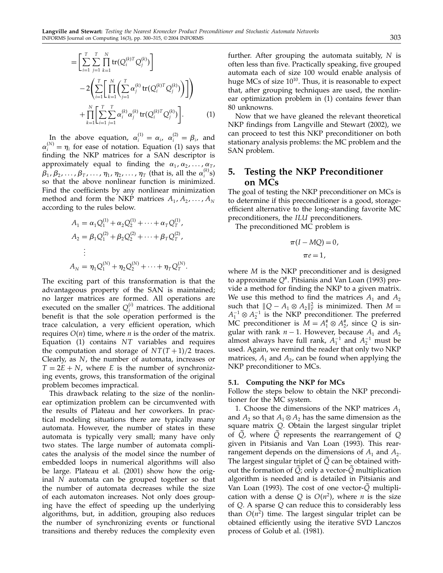$$
= \left[ \sum_{i=1}^{T} \sum_{j=1}^{T} \prod_{k=1}^{N} tr(Q_i^{(k)T} Q_j^{(k)}) \right] - 2 \left( \sum_{i=1}^{T} \left[ \prod_{k=1}^{N} \left( \sum_{j=1}^{T} \alpha_j^{(k)} tr(Q_i^{(k)T} Q_j^{(k)}) \right) \right] \right) + \prod_{k=1}^{N} \left[ \sum_{i=1}^{T} \sum_{j=1}^{T} \alpha_i^{(k)} \alpha_j^{(k)} tr(Q_i^{(k)T} Q_j^{(k)}) \right].
$$
 (1)

In the above equation,  $\alpha_i^{(1)} = \alpha_i$ ,  $\alpha_i^{(2)} = \beta_i$ , and  $\alpha_i^{(N)} = \eta_i$  for ease of notation. Equation (1) says that finding the NKP matrices for a SAN descriptor is approximately equal to finding the  $\alpha_1, \alpha_2, \ldots, \alpha_T$ ,  $\beta_1$  ,  $\beta_2$  ,  $\dots$  ,  $\beta_T$  ,  $\dots$  ,  $\eta_1$  ,  $\eta_2$  ,  $\dots$  ,  $\eta_T$  (that is, all the  $\alpha_i^{(k)}$ s) so that the above nonlinear function is minimized. Find the coefficients by any nonlinear minimization method and form the NKP matrices  $A_1, A_2, \ldots, A_N$ according to the rules below.

$$
A_1 = \alpha_1 Q_1^{(1)} + \alpha_2 Q_2^{(1)} + \dots + \alpha_T Q_T^{(1)},
$$
  
\n
$$
A_2 = \beta_1 Q_1^{(2)} + \beta_2 Q_2^{(2)} + \dots + \beta_T Q_T^{(2)},
$$
  
\n
$$
\vdots
$$
  
\n
$$
A_N = \eta_1 Q_1^{(N)} + \eta_2 Q_2^{(N)} + \dots + \eta_T Q_T^{(N)}.
$$

The exciting part of this transformation is that the advantageous property of the SAN is maintained; no larger matrices are formed. All operations are executed on the smaller  $Q_j^{(i)}$  matrices. The additional benefit is that the sole operation performed is the trace calculation, a very efficient operation, which requires  $O(n)$  time, where *n* is the order of the matrix. Equation  $(1)$  contains  $NT$  variables and requires the computation and storage of  $NT(T+1)/2$  traces. Clearly, as N, the number of automata, increases or  $T = 2E + N$ , where E is the number of synchronizing events, grows, this transformation of the original problem becomes impractical.

This drawback relating to the size of the nonlinear optimization problem can be circumvented with the results of Plateau and her coworkers. In practical modeling situations there are typically many automata. However, the number of states in these automata is typically very small; many have only two states. The large number of automata complicates the analysis of the model since the number of embedded loops in numerical algorithms will also be large. Plateau et al. (2001) show how the original N automata can be grouped together so that the number of automata decreases while the size of each automaton increases. Not only does grouping have the effect of speeding up the underlying algorithms, but, in addition, grouping also reduces the number of synchronizing events or functional transitions and thereby reduces the complexity even

further. After grouping the automata suitably,  $N$  is often less than five. Practically speaking, five grouped automata each of size 100 would enable analysis of huge MCs of size  $10^{10}$ . Thus, it is reasonable to expect that, after grouping techniques are used, the nonlinear optimization problem in (1) contains fewer than 80 unknowns.

Now that we have gleaned the relevant theoretical NKP findings from Langville and Stewart (2002), we can proceed to test this NKP preconditioner on both stationary analysis problems: the MC problem and the SAN problem.

# 5. Testing the NKP Preconditioner on MCs

The goal of testing the NKP preconditioner on MCs is to determine if this preconditioner is a good, storageefficient alternative to the long-standing favorite MC preconditioners, the ILU preconditioners.

The preconditioned MC problem is

$$
\pi(I - MQ) = 0,
$$
  

$$
\pi e = 1,
$$

where *M* is the NKP preconditioner and is designed to approximate  $Q^*$ . Pitsianis and Van Loan (1993) provide a method for finding the NKP to a given matrix. We use this method to find the matrices  $A_1$  and  $A_2$ such that  $||Q - A_1 \otimes A_2||_F^2$  is minimized. Then  $M =$  $A_1^{-1}$  ⊗  $A_2^{-1}$  is the NKP preconditioner. The preferred MC preconditioner is  $M = A_1^* \otimes A_2^*$ , since Q is singular with rank  $n - 1$ . However, because  $A_1$  and  $A_2$ almost always have full rank,  $A_1^{-1}$  and  $A_2^{-1}$  must be used. Again, we remind the reader that only two NKP matrices,  $A_1$  and  $A_2$ , can be found when applying the NKP preconditioner to MCs.

### 5.1. Computing the NKP for MCs

Follow the steps below to obtain the NKP preconditioner for the MC system.

1. Choose the dimensions of the NKP matrices  $A_1$ and  $A_2$  so that  $A_1 \otimes A_2$  has the same dimension as the square matrix Q. Obtain the largest singular triplet of  $Q$ , where  $Q$  represents the rearrangement of  $Q$ given in Pitsianis and Van Loan (1993). This rearrangement depends on the dimensions of  $A_1$  and  $A_2$ . The largest singular triplet of  $\overline{Q}$  can be obtained without the formation of  $\tilde{Q}$ ; only a vector- $\tilde{Q}$  multiplication algorithm is needed and is detailed in Pitsianis and Van Loan (1993). The cost of one vector-Q multiplication with a dense Q is  $O(n^2)$ , where *n* is the size of Q. A sparse Q can reduce this to considerably less than  $O(n^2)$  time. The largest singular triplet can be obtained efficiently using the iterative SVD Lanczos process of Golub et al. (1981).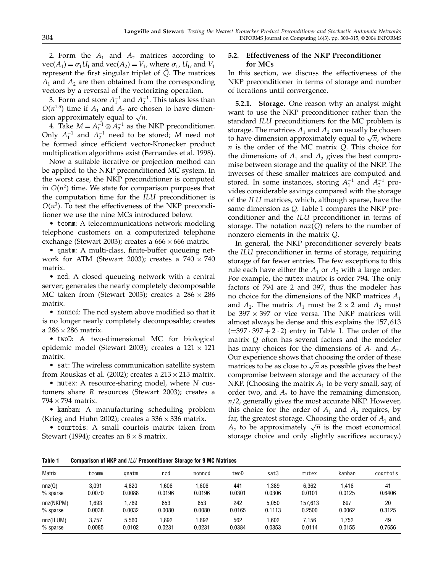2. Form the  $A_1$  and  $A_2$  matrices according to  $vec(A_1) = \sigma_1 U_1$  and  $vec(A_2) = V_1$ , where  $\sigma_1$ ,  $U_1$ , and  $V_1$ represent the first singular triplet of  $Q$ . The matrices  $A_1$  and  $A_2$  are then obtained from the corresponding vectors by a reversal of the vectorizing operation.

3. Form and store  $A_1^{-1}$  and  $A_2^{-1}$ . This takes less than  $O(n^{1.5})$  time if  $A_1$  and  $A_2$  are chosen to have dimension approximately equal to  $\sqrt{n}$ .

4. Take  $M = A_1^{-1} \otimes A_2^{-1}$  as the NKP preconditioner. Only  $A_1^{-1}$  and  $A_2^{-1}$  need to be stored; M need not be formed since efficient vector-Kronecker product multiplication algorithms exist (Fernandes et al. 1998).

Now a suitable iterative or projection method can be applied to the NKP preconditioned MC system. In the worst case, the NKP preconditioner is computed in  $O(n^2)$  time. We state for comparison purposes that the computation time for the ILU preconditioner is  $O(n^3)$ . To test the effectiveness of the NKP preconditioner we use the nine MCs introduced below.

• tcomm: A telecommunications network modeling telephone customers on a computerized telephone exchange (Stewart 2003); creates a  $666 \times 666$  matrix.

• qnatm: A multi-class, finite-buffer queueing network for ATM (Stewart 2003); creates a  $740 \times 740$ matrix.

• ncd: A closed queueing network with a central server; generates the nearly completely decomposable MC taken from (Stewart 2003); creates a  $286 \times 286$ matrix.

• nonncd: The ncd system above modified so that it is no longer nearly completely decomposable; creates a  $286 \times 286$  matrix.

• twoD: A two-dimensional MC for biological epidemic model (Stewart 2003); creates a  $121 \times 121$ matrix.

• sat: The wireless communication satellite system from Rouskas et al. (2002); creates a  $213 \times 213$  matrix.

• mutex: A resource-sharing model, where  $N$  customers share R resources (Stewart 2003); creates a  $794 \times 794$  matrix.

• kanban: A manufacturing scheduling problem (Krieg and Huhn 2002); creates a  $336 \times 336$  matrix.

• courtois: A small courtois matrix taken from Stewart (1994); creates an  $8 \times 8$  matrix.

### 5.2. Effectiveness of the NKP Preconditioner for MCs

In this section, we discuss the effectiveness of the NKP preconditioner in terms of storage and number of iterations until convergence.

5.2.1. Storage. One reason why an analyst might want to use the NKP preconditioner rather than the standard ILU preconditioners for the MC problem is storage. The matrices  $A_1$  and  $A_2$  can usually be chosen to have dimension approximately equal to  $\sqrt{n}$ , where  $n$  is the order of the MC matrix  $Q$ . This choice for the dimensions of  $A_1$  and  $A_2$  gives the best compromise between storage and the quality of the NKP. The inverses of these smaller matrices are computed and stored. In some instances, storing  $A_1^{-1}$  and  $A_2^{-1}$  provides considerable savings compared with the storage of the ILU matrices, which, although sparse, have the same dimension as Q. Table 1 compares the NKP preconditioner and the ILU preconditioner in terms of storage. The notation  $nnz(Q)$  refers to the number of nonzero elements in the matrix Q.

In general, the NKP preconditioner severely beats the ILU preconditioner in terms of storage, requiring storage of far fewer entries. The few exceptions to this rule each have either the  $A_1$  or  $A_2$  with a large order. For example, the mutex matrix is order 794. The only factors of 794 are 2 and 397, thus the modeler has no choice for the dimensions of the NKP matrices  $A_1$ and  $A_2$ . The matrix  $A_1$  must be 2 × 2 and  $A_2$  must be  $397 \times 397$  or vice versa. The NKP matrices will almost always be dense and this explains the 157,613  $(=397 \cdot 397 + 2 \cdot 2)$  entry in Table 1. The order of the matrix Q often has several factors and the modeler has many choices for the dimensions of  $A_1$  and  $A_2$ . Our experience shows that choosing the order of these matrices to be as close to  $\sqrt{n}$  as possible gives the best compromise between storage and the accuracy of the NKP. (Choosing the matrix  $A_1$  to be very small, say, of order two, and  $A_2$  to have the remaining dimension,  $n/2$ , generally gives the most accurate NKP. However, this choice for the order of  $A_1$  and  $A_2$  requires, by far, the greatest storage. Choosing the order of  $A_1$  and  $A_2$  to be approximately  $\sqrt{n}$  is the most economical storage choice and only slightly sacrifices accuracy.)

Table 1 Comparison of NKP and ILU Preconditioner Storage for 9 MC Matrices

| <b>Matrix</b> | tcomm  | gnatm  | ncd    | nonned | twoD   | sat3   | mutex   | kanban | courtois |
|---------------|--------|--------|--------|--------|--------|--------|---------|--------|----------|
| nnz(Q)        | 3.091  | 4.820  | 1.606  | .606   | 441    | .389   | 6.362   | .416   | 41       |
| % sparse      | 0.0070 | 0.0088 | 0.0196 | 0.0196 | 0.0301 | 0.0306 | 0.0101  | 0.0125 | 0.6406   |
| nnz(NKPM)     | .693   | .769   | 653    | 653    | 242    | 5.050  | 157.613 | 697    | 20       |
| % sparse      | 0.0038 | 0.0032 | 0.0080 | 0.0080 | 0.0165 | 0.1113 | 0.2500  | 0.0062 | 0.3125   |
| nnz(ILUM)     | 3.757  | 5.560  | 1.892  | .892   | 562    | .602   | 7.156   | .752   | 49       |
| % sparse      | 0.0085 | 0.0102 | 0.0231 | 0.0231 | 0.0384 | 0.0353 | 0.0114  | 0.0155 | 0.7656   |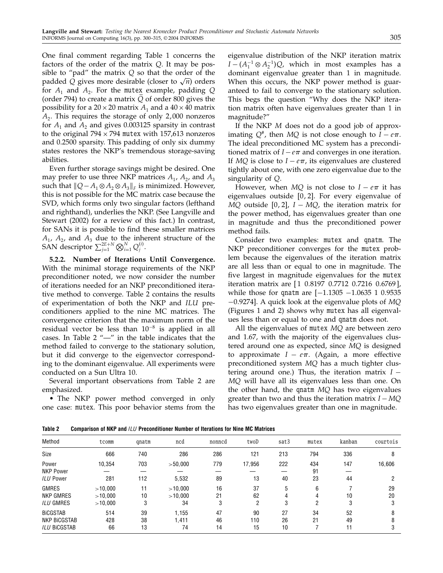One final comment regarding Table 1 concerns the factors of the order of the matrix  $Q$ . It may be possible to "pad" the matrix  $Q$  so that the order of the padded Q gives more desirable (closer to  $\sqrt{n}$ ) orders for  $A_1$  and  $A_2$ . For the mutex example, padding Q (order 794) to create a matrix Q of order 800 gives the possibility for a  $20 \times 20$  matrix  $A_1$  and a  $40 \times 40$  matrix  $A<sub>2</sub>$ . This requires the storage of only 2,000 nonzeros for  $A_1$  and  $A_2$  and gives 0.003125 sparsity in contrast to the original  $794 \times 794$  mutex with 157,613 nonzeros and 0.2500 sparsity. This padding of only six dummy states restores the NKP's tremendous storage-saving abilities.

Even further storage savings might be desired. One may prefer to use three NKP matrices  $A_1$ ,  $A_2$ , and  $A_3$ such that  $||Q-A_1 \otimes A_2 \otimes A_3||_F$  is minimized. However, this is not possible for the MC matrix case because the SVD, which forms only two singular factors (lefthand and righthand), underlies the NKP. (See Langville and Stewart (2002) for a review of this fact.) In contrast, for SANs it is possible to find these smaller matrices  $A_1$ ,  $A_2$ , and  $A_3$  due to the inherent structure of the SAN descriptor  $\sum_{j=1}^{2E+N} \bigotimes_{i=1}^{N} Q_j^{(i)}$ .

5.2.2. Number of Iterations Until Convergence. With the minimal storage requirements of the NKP preconditioner noted, we now consider the number of iterations needed for an NKP preconditioned iterative method to converge. Table 2 contains the results of experimentation of both the NKP and ILU preconditioners applied to the nine MC matrices. The convergence criterion that the maximum norm of the residual vector be less than 10<sup>−</sup><sup>8</sup> is applied in all cases. In Table 2 "—" in the table indicates that the method failed to converge to the stationary solution, but it did converge to the eigenvector corresponding to the dominant eigenvalue. All experiments were conducted on a Sun Ultra 10.

Several important observations from Table 2 are emphasized.

• The NKP power method converged in only one case: mutex. This poor behavior stems from the

eigenvalue distribution of the NKP iteration matrix  $I - (A_1^{-1} \otimes A_2^{-1})Q$ , which in most examples has a dominant eigenvalue greater than 1 in magnitude. When this occurs, the NKP power method is guaranteed to fail to converge to the stationary solution. This begs the question "Why does the NKP iteration matrix often have eigenvalues greater than 1 in magnitude?"

If the NKP M does not do a good job of approximating  $Q^*$ , then MQ is not close enough to  $I - e\pi$ . The ideal preconditioned MC system has a preconditioned matrix of  $I - e\pi$  and converges in one iteration. If MQ is close to  $I - e\pi$ , its eigenvalues are clustered tightly about one, with one zero eigenvalue due to the singularity of Q.

However, when  $MQ$  is not close to  $I - e\pi$  it has eigenvalues outside  $[0, 2]$ . For every eigenvalue of  $MQ$  outside [0, 2],  $I - MQ$ , the iteration matrix for the power method, has eigenvalues greater than one in magnitude and thus the preconditioned power method fails.

Consider two examples: mutex and qnatm. The NKP preconditioner converges for the mutex problem because the eigenvalues of the iteration matrix are all less than or equal to one in magnitude. The five largest in magnitude eigenvalues for the mutex iteration matrix are  $[1\ 0.8197\ 0.7712\ 0.7216\ 0.6769]$ , while those for qnatm are  $[-1.1305 -1.0635 1 0.9535]$ −0.9274]. A quick look at the eigenvalue plots of MQ (Figures 1 and 2) shows why mutex has all eigenvalues less than or equal to one and qnatm does not.

All the eigenvalues of mutex MQ are between zero and 1.67, with the majority of the eigenvalues clustered around one as expected, since MQ is designed to approximate  $I - e\pi$ . (Again, a more effective preconditioned system MQ has a much tighter clustering around one.) Thus, the iteration matrix  $I -$ MQ will have all its eigenvalues less than one. On the other hand, the qnatm MQ has two eigenvalues greater than two and thus the iteration matrix  $I - MQ$ has two eigenvalues greater than one in magnitude.

Table 2 Comparison of NKP and ILU Preconditioner Number of Iterations for Nine MC Matrices

| Method                                                        | tcomm                         | qnatm          | ncd                      | nonned         | twoD            | sat3           | mutex           | kanban         | courtois       |
|---------------------------------------------------------------|-------------------------------|----------------|--------------------------|----------------|-----------------|----------------|-----------------|----------------|----------------|
| Size                                                          | 666                           | 740            | 286                      | 286            | 121             | 213            | 794             | 336            |                |
| Power<br><b>NKP Power</b><br><b>ILU Power</b>                 | 10,354<br>281                 | 703<br>112     | >50,000<br>5,532         | 779<br>89      | 17,956<br>13    | 222<br>40      | 434<br>91<br>23 | 147<br>44      | 16,606         |
| <b>GMRES</b><br>NKP GMRES<br>ILU GMRES                        | >10.000<br>>10.000<br>>10,000 | 11<br>10<br>3  | >10.000<br>>10.000<br>34 | 16<br>21<br>3  | 37<br>62<br>റ   | 5<br>3         | 6<br>4<br>2     | 10<br>3        | 29<br>20<br>د. |
| <b>BICGSTAB</b><br><b>NKP BICGSTAB</b><br><b>ILU BICGSTAB</b> | 514<br>428<br>66              | 39<br>38<br>13 | 1,155<br>1.411<br>74     | 47<br>46<br>14 | 90<br>110<br>15 | 27<br>26<br>10 | 34<br>21        | 52<br>49<br>11 |                |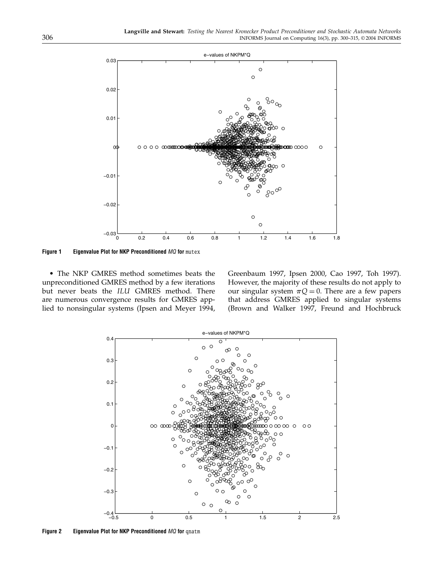

Figure 1 Eigenvalue Plot for NKP Preconditioned MQ for mutex

• The NKP GMRES method sometimes beats the unpreconditioned GMRES method by a few iterations but never beats the ILU GMRES method. There are numerous convergence results for GMRES applied to nonsingular systems (Ipsen and Meyer 1994, Greenbaum 1997, Ipsen 2000, Cao 1997, Toh 1997). However, the majority of these results do not apply to our singular system  $\pi Q = 0$ . There are a few papers that address GMRES applied to singular systems (Brown and Walker 1997, Freund and Hochbruck



Figure 2 Eigenvalue Plot for NKP Preconditioned MQ for qnatm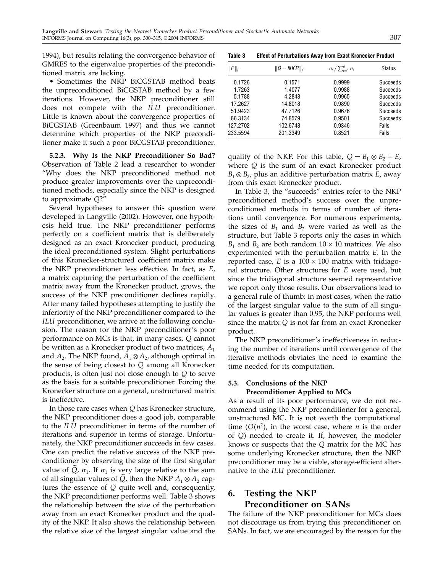1994), but results relating the convergence behavior of GMRES to the eigenvalue properties of the preconditioned matrix are lacking.

• Sometimes the NKP BiCGSTAB method beats the unpreconditioned BiCGSTAB method by a few iterations. However, the NKP preconditioner still does not compete with the ILU preconditioner. Little is known about the convergence properties of BiCGSTAB (Greenbaum 1997) and thus we cannot determine which properties of the NKP preconditioner make it such a poor BiCGSTAB preconditioner.

5.2.3. Why Is the NKP Preconditioner So Bad? Observation of Table 2 lead a researcher to wonder "Why does the NKP preconditioned method not produce greater improvements over the unpreconditioned methods, especially since the NKP is designed to approximate Q?"

Several hypotheses to answer this question were developed in Langville (2002). However, one hypothesis held true. The NKP preconditioner performs perfectly on a coefficient matrix that is deliberately designed as an exact Kronecker product, producing the ideal preconditioned system. Slight perturbations of this Kronecker-structured coefficient matrix make the NKP preconditioner less effective. In fact, as E, a matrix capturing the perturbation of the coefficient matrix away from the Kronecker product, grows, the success of the NKP preconditioner declines rapidly. After many failed hypotheses attempting to justify the inferiority of the NKP preconditioner compared to the ILU preconditioner, we arrive at the following conclusion. The reason for the NKP preconditioner's poor performance on MCs is that, in many cases, Q cannot be written as a Kronecker product of two matrices,  $A_1$ and  $A_2$ . The NKP found,  $A_1 \otimes A_2$ , although optimal in the sense of being closest to Q among all Kronecker products, is often just not close enough to Q to serve as the basis for a suitable preconditioner. Forcing the Kronecker structure on a general, unstructured matrix is ineffective.

In those rare cases when Q has Kronecker structure, the NKP preconditioner does a good job, comparable to the ILU preconditioner in terms of the number of iterations and superior in terms of storage. Unfortunately, the NKP preconditioner succeeds in few cases. One can predict the relative success of the NKP preconditioner by observing the size of the first singular value of  $\overline{Q}$ ,  $\sigma_1$ . If  $\sigma_1$  is very large relative to the sum of all singular values of Q, then the NKP  $A_1 \otimes A_2$  captures the essence of Q quite well and, consequently, the NKP preconditioner performs well. Table 3 shows the relationship between the size of the perturbation away from an exact Kronecker product and the quality of the NKP. It also shows the relationship between the relative size of the largest singular value and the

| <b>Effect of Perturbations Away from Exact Kronecker Product</b> |
|------------------------------------------------------------------|
|                                                                  |

| $  E  _F$ | $  Q-NKP  _F$ | $\sigma_1/\sum_{i=1}^n \sigma_i$ | <b>Status</b>   |
|-----------|---------------|----------------------------------|-----------------|
| 0.1726    | 0.1571        | 0.9999                           | <b>Succeeds</b> |
| 1.7263    | 1.4077        | 0.9988                           | Succeeds        |
| 5.1788    | 4.2848        | 0.9965                           | Succeeds        |
| 17.2627   | 14.8018       | 0.9890                           | Succeeds        |
| 51.9423   | 47.7126       | 0.9676                           | <b>Succeeds</b> |
| 86.3134   | 74.8579       | 0.9501                           | <b>Succeeds</b> |
| 127.2702  | 102.6748      | 0.9346                           | Fails           |
| 233.5594  | 201.3349      | 0.8521                           | Fails           |

quality of the NKP. For this table,  $Q = B_1 \otimes B_2 + E$ , where Q is the sum of an exact Kronecker product  $B_1 \otimes B_2$ , plus an additive perturbation matrix E, away from this exact Kronecker product.

In Table 3, the "succeeds" entries refer to the NKP preconditioned method's success over the unpreconditioned methods in terms of number of iterations until convergence. For numerous experiments, the sizes of  $B_1$  and  $B_2$  were varied as well as the structure, but Table 3 reports only the cases in which  $B_1$  and  $B_2$  are both random  $10 \times 10$  matrices. We also experimented with the perturbation matrix E. In the reported case, E is a  $100 \times 100$  matrix with tridiagonal structure. Other structures for E were used, but since the tridiagonal structure seemed representative we report only those results. Our observations lead to a general rule of thumb: in most cases, when the ratio of the largest singular value to the sum of all singular values is greater than 0.95, the NKP performs well since the matrix  $Q$  is not far from an exact Kronecker product.

The NKP preconditioner's ineffectiveness in reducing the number of iterations until convergence of the iterative methods obviates the need to examine the time needed for its computation.

### 5.3. Conclusions of the NKP Preconditioner Applied to MCs

As a result of its poor performance, we do not recommend using the NKP preconditioner for a general, unstructured MC. It is not worth the computational time  $(O(n^2))$ , in the worst case, where *n* is the order of Q) needed to create it. If, however, the modeler knows or suspects that the Q matrix for the MC has some underlying Kronecker structure, then the NKP preconditioner may be a viable, storage-efficient alternative to the ILU preconditioner.

# 6. Testing the NKP Preconditioner on SANs

The failure of the NKP preconditioner for MCs does not discourage us from trying this preconditioner on SANs. In fact, we are encouraged by the reason for the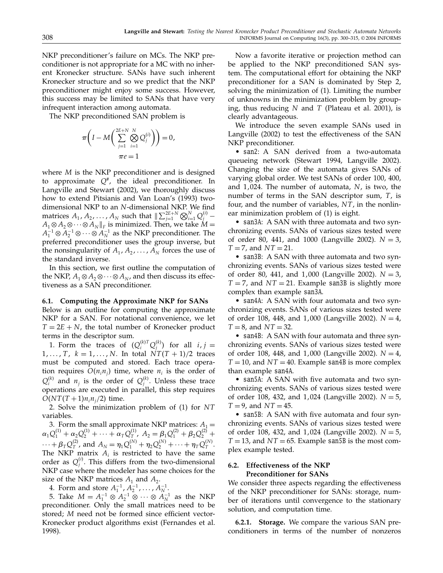NKP preconditioner's failure on MCs. The NKP preconditioner is not appropriate for a MC with no inherent Kronecker structure. SANs have such inherent Kronecker structure and so we predict that the NKP preconditioner might enjoy some success. However, this success may be limited to SANs that have very infrequent interaction among automata.

The NKP preconditioned SAN problem is

$$
\pi\bigg(I-M\bigg(\sum_{j=1}^{2E+N} \bigotimes_{i=1}^{N} Q_j^{(i)}\bigg)\bigg)=0,
$$
  

$$
\pi e=1
$$

where *M* is the NKP preconditioner and is designed to approximate  $Q^*$ , the ideal preconditioner. In Langville and Stewart (2002), we thoroughly discuss how to extend Pitsianis and Van Loan's (1993) twodimensional NKP to an N-dimensional NKP. We find matrices  $A_1, A_2, ..., A_N$  such that  $\|\sum_{j=1}^{2E+N} \bigotimes_{i=1}^N Q_j^{(i)} A_1 \otimes A_2 \otimes \cdots \otimes A_N \Vert_F$  is minimized. Then, we take  $M =$  $A_1^{-1} \otimes A_2^{-1} \otimes \cdots \otimes A_N^{-1}$  as the NKP preconditioner. The preferred preconditioner uses the group inverse, but the nonsingularity of  $A_1, A_2, \ldots, A_N$  forces the use of the standard inverse.

In this section, we first outline the computation of the NKP,  $A_1 \otimes A_2 \otimes \cdots \otimes A_N$ , and then discuss its effectiveness as a SAN preconditioner.

### 6.1. Computing the Approximate NKP for SANs

Below is an outline for computing the approximate NKP for a SAN. For notational convenience, we let  $T = 2E + N$ , the total number of Kronecker product terms in the descriptor sum.

1. Form the traces of  $(Q_i^{(k)T}Q_j^{(k)})$  for all  $i, j =$  $1, \ldots, T$ ,  $k = 1, \ldots, N$ . In total  $\dot{NT}(T + 1)/2$  traces must be computed and stored. Each trace operation requires  $O(n_i n_j)$  time, where  $n_i$  is the order of  $Q_i^{(k)}$  and  $n_j$  is the order of  $Q_j^{(k)}$ . Unless these trace operations are executed in parallel, this step requires  $O(NT(T + 1)n_{i}n_{i}/2)$  time.

2. Solve the minimization problem of  $(1)$  for NT variables.

3. Form the small approximate NKP matrices:  $A_1 =$  $\alpha_1 Q_1^{(1)} + \alpha_2 Q_2^{(1)} + \cdots + \alpha_T Q_T^{(1)}$ ,  $A_2 = \beta_1 Q_1^{(2)} + \beta_2 Q_2^{(2)} +$  $\cdots + \beta_T Q_T^{(2)}$ , and  $A_N = \eta_1 Q_1^{(N)} + \eta_2 Q_2^{(N)} + \cdots + \eta_T Q_T^{(N)}$ . The NKP matrix  $A_i$  is restricted to have the same order as  $Q_j^{(i)}$ . This differs from the two-dimensional NKP case where the modeler has some choices for the size of the NKP matrices  $A_1$  and  $A_2$ .

4. Form and store  $A_1^{-1}, A_2^{-1}, \ldots, A_N^{-1}$ .

5. Take  $M = A_1^{-1} \otimes A_2^{-1} \otimes \cdots \otimes A_N^{-1}$  as the NKP preconditioner. Only the small matrices need to be stored; M need not be formed since efficient vector-Kronecker product algorithms exist (Fernandes et al. 1998).

Now a favorite iterative or projection method can be applied to the NKP preconditioned SAN system. The computational effort for obtaining the NKP preconditioner for a SAN is dominated by Step 2, solving the minimization of (1). Limiting the number of unknowns in the minimization problem by grouping, thus reducing N and T (Plateau et al. 2001), is clearly advantageous.

We introduce the seven example SANs used in Langville (2002) to test the effectiveness of the SAN NKP preconditioner.

• san2: A SAN derived from a two-automata queueing network (Stewart 1994, Langville 2002). Changing the size of the automata gives SANs of varying global order. We test SANs of order 100, 400, and  $1,024$ . The number of automata,  $N$ , is two, the number of terms in the SAN descriptor sum,  $T<sub>i</sub>$  is four, and the number of variables,  $NT$ , in the nonlinear minimization problem of (1) is eight.

• san3A: A SAN with three automata and two synchronizing events. SANs of various sizes tested were of order 80, 441, and 1000 (Langville 2002).  $N = 3$ ,  $T = 7$ , and  $NT = 21$ .

• san3B: A SAN with three automata and two synchronizing events. SANs of various sizes tested were of order 80, 441, and 1,000 (Langville 2002).  $N = 3$ ,  $T = 7$ , and  $NT = 21$ . Example san3B is slightly more complex than example san3A.

• san4A: A SAN with four automata and two synchronizing events. SANs of various sizes tested were of order 108, 448, and 1,000 (Langville 2002).  $N = 4$ ,  $T = 8$ , and  $NT = 32$ .

• san4B: A SAN with four automata and three synchronizing events. SANs of various sizes tested were of order 108, 448, and 1,000 (Langville 2002).  $N = 4$ ,  $T = 10$ , and  $NT = 40$ . Example san4B is more complex than example san4A.

• san5A: A SAN with five automata and two synchronizing events. SANs of various sizes tested were of order 108, 432, and 1,024 (Langville 2002).  $N = 5$ ,  $T = 9$ , and  $NT = 45$ .

• san5B: A SAN with five automata and four synchronizing events. SANs of various sizes tested were of order 108, 432, and 1,024 (Langville 2002).  $N = 5$ ,  $T = 13$ , and  $NT = 65$ . Example san5B is the most complex example tested.

### 6.2. Effectiveness of the NKP Preconditioner for SANs

We consider three aspects regarding the effectiveness of the NKP preconditioner for SANs: storage, number of iterations until convergence to the stationary solution, and computation time.

6.2.1. Storage. We compare the various SAN preconditioners in terms of the number of nonzeros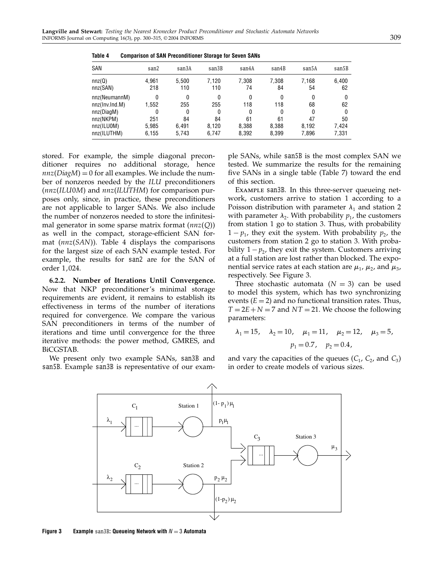| SAN            | san2  | san3A | san3B        | san4A | san4B | san5A | san5B |
|----------------|-------|-------|--------------|-------|-------|-------|-------|
| nnz(Q)         | 4,961 | 5.500 | 7.120        | 7.308 | 7,308 | 7.168 | 6,400 |
| nnz(SAN)       | 218   | 110   | 110          | 74    | 84    | 54    | 62    |
| nnz(NeumannM)  | 0     | 0     | 0            | 0     | 0     | 0     | 0     |
| nnz(Inv.Ind.M) | 1.552 | 255   | 255          | 118   | 118   | 68    | 62    |
| nnz(DiaqM)     | 0     | 0     | $\mathbf{0}$ | 0     | 0     | 0     | 0     |
| nnz(NKPM)      | 251   | 84    | 84           | 61    | 61    | 47    | 50    |
| nnz(ILU0M)     | 5,985 | 6.491 | 8.120        | 8.388 | 8,388 | 8.192 | 7,424 |
| nnz(ILUTHM)    | 6,155 | 5.743 | 6.747        | 8,392 | 8,399 | 7,896 | 7,331 |

Table 4 Comparison of SAN Preconditioner Storage for Seven SANs

stored. For example, the simple diagonal preconditioner requires no additional storage, hence  $nnz(DiagM) = 0$  for all examples. We include the number of nonzeros needed by the ILU preconditioners  $(nnz(ILU0M)$  and  $nnz(ILUTHM)$  for comparison purposes only, since, in practice, these preconditioners are not applicable to larger SANs. We also include the number of nonzeros needed to store the infinitesimal generator in some sparse matrix format  $(nnz(Q))$ as well in the compact, storage-efficient SAN format  $(nnz(SAN))$ . Table 4 displays the comparisons for the largest size of each SAN example tested. For example, the results for san2 are for the SAN of order 1,024.

6.2.2. Number of Iterations Until Convergence. Now that NKP preconditioner's minimal storage requirements are evident, it remains to establish its effectiveness in terms of the number of iterations required for convergence. We compare the various SAN preconditioners in terms of the number of iterations and time until convergence for the three iterative methods: the power method, GMRES, and BiCGSTAB.

We present only two example SANs, san3B and san5B. Example san3B is representative of our example SANs, while san5B is the most complex SAN we tested. We summarize the results for the remaining five SANs in a single table (Table 7) toward the end of this section.

Example san3B. In this three-server queueing network, customers arrive to station 1 according to a Poisson distribution with parameter  $\lambda_1$  and station 2 with parameter  $\lambda_2$ . With probability  $p_1$ , the customers from station 1 go to station 3. Thus, with probability  $1 - p_1$ , they exit the system. With probability  $p_2$ , the customers from station 2 go to station 3. With probability  $1 - p_2$ , they exit the system. Customers arriving at a full station are lost rather than blocked. The exponential service rates at each station are  $\mu_1$ ,  $\mu_2$ , and  $\mu_3$ , respectively. See Figure 3.

Three stochastic automata  $(N = 3)$  can be used to model this system, which has two synchronizing events  $(E = 2)$  and no functional transition rates. Thus,  $T = 2E + N = 7$  and  $NT = 21$ . We choose the following parameters:

$$
\lambda_1 = 15
$$
,  $\lambda_2 = 10$ ,  $\mu_1 = 11$ ,  $\mu_2 = 12$ ,  $\mu_3 = 5$ ,  
\n $p_1 = 0.7$ ,  $p_2 = 0.4$ ,

and vary the capacities of the queues  $(C_1, C_2,$  and  $C_3)$ in order to create models of various sizes.



Figure 3 Example san3B: Queueing Network with  $N = 3$  Automata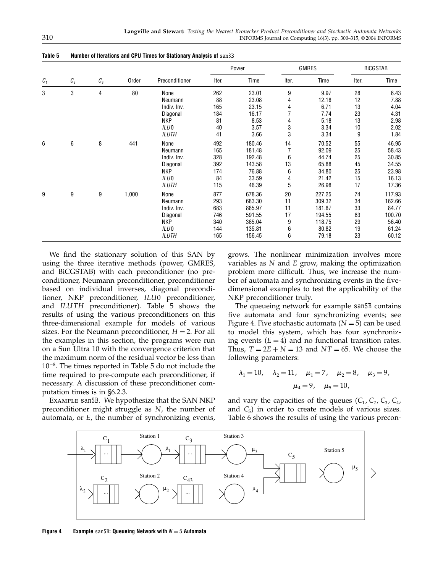|                 |                 |                 |       |                  |       | Power  |                | <b>GMRES</b> |       | <b>BICGSTAB</b> |
|-----------------|-----------------|-----------------|-------|------------------|-------|--------|----------------|--------------|-------|-----------------|
| $\mathcal{C}_1$ | $\mathcal{C}_2$ | $\mathcal{C}_3$ | Order | Preconditioner   | Iter. | Time   | Iter.          | Time         | Iter. | Time            |
| 3               | 3               | 4               | 80    | None             | 262   | 23.01  | 9              | 9.97         | 28    | 6.43            |
|                 |                 |                 |       | Neumann          | 88    | 23.08  | 4              | 12.18        | 12    | 7.88            |
|                 |                 |                 |       | Indiv. Inv.      | 165   | 23.15  | 4              | 6.71         | 13    | 4.04            |
|                 |                 |                 |       | Diagonal         | 184   | 16.17  |                | 7.74         | 23    | 4.31            |
|                 |                 |                 |       | <b>NKP</b>       | 81    | 8.53   | 4              | 5.18         | 13    | 2.98            |
|                 |                 |                 |       | ILU <sub>0</sub> | 40    | 3.57   | 3              | 3.34         | 10    | 2.02            |
|                 |                 |                 |       | ILUTH            | 41    | 3.66   | 3              | 3.34         | 9     | 1.84            |
| 6               | 6               | 8               | 441   | None             | 492   | 180.46 | 14             | 70.52        | 55    | 46.95           |
|                 |                 |                 |       | Neumann          | 165   | 181.48 | $\overline{7}$ | 92.09        | 25    | 58.43           |
|                 |                 |                 |       | Indiv. Inv.      | 328   | 192.48 | 6              | 44.74        | 25    | 30.85           |
|                 |                 |                 |       | Diagonal         | 392   | 143.58 | 13             | 65.88        | 45    | 34.55           |
|                 |                 |                 |       | <b>NKP</b>       | 174   | 76.88  | 6              | 34.80        | 25    | 23.98           |
|                 |                 |                 |       | ILU <sub>0</sub> | 84    | 33.59  | 4              | 21.42        | 15    | 16.13           |
|                 |                 |                 |       | <b>ILUTH</b>     | 115   | 46.39  | 5              | 26.98        | 17    | 17.36           |
| 9               | 9               | 9               | 1,000 | None             | 877   | 678.36 | 20             | 227.25       | 74    | 117.93          |
|                 |                 |                 |       | Neumann          | 293   | 683.30 | 11             | 309.32       | 34    | 162.66          |
|                 |                 |                 |       | Indiv. Inv.      | 683   | 885.97 | 11             | 181.87       | 33    | 84.77           |
|                 |                 |                 |       | Diagonal         | 746   | 591.55 | 17             | 194.55       | 63    | 100.70          |
|                 |                 |                 |       | <b>NKP</b>       | 340   | 365.04 | 9              | 118.75       | 29    | 56.40           |
|                 |                 |                 |       | ILU <sub>0</sub> | 144   | 135.81 | 6              | 80.82        | 19    | 61.24           |
|                 |                 |                 |       | <b>ILUTH</b>     | 165   | 156.45 | 6              | 79.18        | 23    | 60.12           |

Table 5 Number of Iterations and CPU Times for Stationary Analysis of san3B

We find the stationary solution of this SAN by using the three iterative methods (power, GMRES, and BiCGSTAB) with each preconditioner (no preconditioner, Neumann preconditioner, preconditioner based on individual inverses, diagonal preconditioner, NKP preconditioner, ILU0 preconditioner, and  $ILUTH$  preconditioner). Table  $5$  shows the results of using the various preconditioners on this three-dimensional example for models of various sizes. For the Neumann preconditioner,  $H = 2$ . For all the examples in this section, the programs were run on a Sun Ultra 10 with the convergence criterion that the maximum norm of the residual vector be less than 10<sup>−</sup>8. The times reported in Table 5 do not include the time required to pre-compute each preconditioner, if necessary. A discussion of these preconditioner computation times is in §6.2.3.

Example san5B. We hypothesize that the SAN NKP preconditioner might struggle as N, the number of automata, or E, the number of synchronizing events,

grows. The nonlinear minimization involves more variables as N and E grow, making the optimization problem more difficult. Thus, we increase the number of automata and synchronizing events in the fivedimensional examples to test the applicability of the NKP preconditioner truly.

The queueing network for example san5B contains five automata and four synchronizing events; see Figure 4. Five stochastic automata  $(N = 5)$  can be used to model this system, which has four synchronizing events  $(E = 4)$  and no functional transition rates. Thus,  $T = 2E + N = 13$  and  $NT = 65$ . We choose the following parameters:

$$
\lambda_1 = 10
$$
,  $\lambda_2 = 11$ ,  $\mu_1 = 7$ ,  $\mu_2 = 8$ ,  $\mu_3 = 9$ ,  
 $\mu_4 = 9$ ,  $\mu_5 = 10$ ,

and vary the capacities of the queues  $(C_1, C_2, C_3, C_4, C_5)$ and  $C_5$ ) in order to create models of various sizes. Table 6 shows the results of using the various precon-



Figure 4 Example san5B: Queueing Network with  $N = 5$  Automata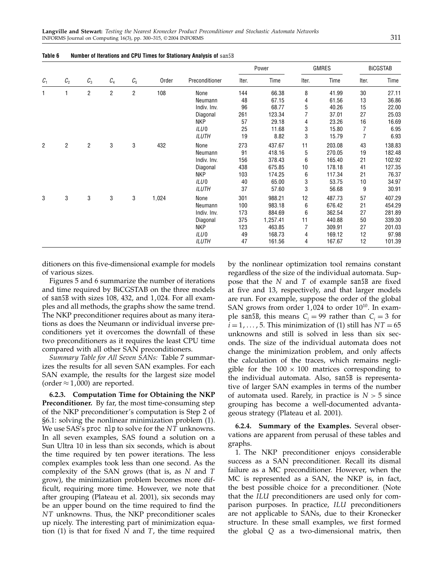|                |                |                 |                |                |       |                |       |          |       |        | Power | <b>GMRES</b> |  | <b>BICGSTAB</b> |  |
|----------------|----------------|-----------------|----------------|----------------|-------|----------------|-------|----------|-------|--------|-------|--------------|--|-----------------|--|
| $C_1$          | C <sub>2</sub> | $\mathcal{C}_3$ | $C_4$          | $C_5$          | Order | Preconditioner | Iter. | Time     | Iter. | Time   | Iter. | Time         |  |                 |  |
| 1              |                | $\overline{2}$  | $\overline{2}$ | $\overline{2}$ | 108   | None           | 144   | 66.38    | 8     | 41.99  | 30    | 27.11        |  |                 |  |
|                |                |                 |                |                |       | Neumann        | 48    | 67.15    | 4     | 61.56  | 13    | 36.86        |  |                 |  |
|                |                |                 |                |                |       | Indiv. Inv.    | 96    | 68.77    | 5     | 40.26  | 15    | 22.00        |  |                 |  |
|                |                |                 |                |                |       | Diagonal       | 261   | 123.34   | 7     | 37.01  | 27    | 25.03        |  |                 |  |
|                |                |                 |                |                |       | <b>NKP</b>     | 57    | 29.18    | 4     | 23.26  | 16    | 16.69        |  |                 |  |
|                |                |                 |                |                |       | ILU0           | 25    | 11.68    | 3     | 15.80  | 7     | 6.95         |  |                 |  |
|                |                |                 |                |                |       | <b>ILUTH</b>   | 19    | 8.82     | 3     | 15.79  | 7     | 6.93         |  |                 |  |
| $\overline{2}$ | $\overline{2}$ | $\overline{c}$  | 3              | 3              | 432   | None           | 273   | 437.67   | 11    | 203.08 | 43    | 138.83       |  |                 |  |
|                |                |                 |                |                |       | Neumann        | 91    | 418.16   | 5     | 270.05 | 19    | 182.48       |  |                 |  |
|                |                |                 |                |                |       | Indiv. Inv.    | 156   | 378.43   | 6     | 165.40 | 21    | 102.92       |  |                 |  |
|                |                |                 |                |                |       | Diagonal       | 438   | 675.85   | 10    | 178.18 | 41    | 127.35       |  |                 |  |
|                |                |                 |                |                |       | <b>NKP</b>     | 103   | 174.25   | 6     | 117.34 | 21    | 76.37        |  |                 |  |
|                |                |                 |                |                |       | ILU0           | 40    | 65.00    | 3     | 53.75  | 10    | 34.97        |  |                 |  |
|                |                |                 |                |                |       | <b>ILUTH</b>   | 37    | 57.60    | 3     | 56.68  | 9     | 30.91        |  |                 |  |
| 3              | 3              | 3               | 3              | 3              | 1,024 | None           | 301   | 988.21   | 12    | 487.73 | 57    | 407.29       |  |                 |  |
|                |                |                 |                |                |       | Neumann        | 100   | 983.18   | 6     | 676.42 | 21    | 454.29       |  |                 |  |
|                |                |                 |                |                |       | Indiv. Inv.    | 173   | 884.69   | 6     | 362.54 | 27    | 281.89       |  |                 |  |
|                |                |                 |                |                |       | Diagonal       | 375   | 1,257.41 | 11    | 440.88 | 50    | 339.30       |  |                 |  |
|                |                |                 |                |                |       | <b>NKP</b>     | 123   | 463.85   | 7     | 309.91 | 27    | 201.03       |  |                 |  |
|                |                |                 |                |                |       | ILU0           | 49    | 168.73   | 4     | 169.12 | 12    | 97.98        |  |                 |  |
|                |                |                 |                |                |       | <b>ILUTH</b>   | 47    | 161.56   | 4     | 167.67 | 12    | 101.39       |  |                 |  |

#### Table 6 Number of Iterations and CPU Times for Stationary Analysis of san5B

ditioners on this five-dimensional example for models of various sizes.

Figures 5 and 6 summarize the number of iterations and time required by BiCGSTAB on the three models of san5B with sizes  $108$ ,  $432$ , and  $1,024$ . For all examples and all methods, the graphs show the same trend. The NKP preconditioner requires about as many iterations as does the Neumann or individual inverse preconditioners yet it overcomes the downfall of these two preconditioners as it requires the least CPU time compared with all other SAN preconditioners.

Summary Table for All Seven SANs: Table 7 summarizes the results for all seven SAN examples. For each SAN example, the results for the largest size model (order  $\approx$  1,000) are reported.

6.2.3. Computation Time for Obtaining the NKP **Preconditioner.** By far, the most time-consuming step of the NKP preconditioner's computation is Step 2 of §6.1: solving the nonlinear minimization problem (1). We use SAS's proc nlp to solve for the  $NT$  unknowns. In all seven examples, SAS found a solution on a Sun Ultra 10 in less than six seconds, which is about the time required by ten power iterations. The less complex examples took less than one second. As the complexity of the SAN grows (that is, as N and T grow), the minimization problem becomes more difficult, requiring more time. However, we note that after grouping (Plateau et al. 2001), six seconds may be an upper bound on the time required to find the  $NT$  unknowns. Thus, the NKP preconditioner scales up nicely. The interesting part of minimization equation (1) is that for fixed  $N$  and  $T$ , the time required

by the nonlinear optimization tool remains constant regardless of the size of the individual automata. Suppose that the  $N$  and  $T$  of example san5B are fixed at five and 13, respectively, and that larger models are run. For example, suppose the order of the global SAN grows from order  $1,024$  to order  $10^{10}$ . In example san5B, this means  $C_i = 99$  rather than  $C_i = 3$  for  $i = 1, \ldots, 5$ . This minimization of (1) still has  $NT = 65$ unknowns and still is solved in less than six seconds. The size of the individual automata does not change the minimization problem, and only affects the calculation of the traces, which remains negligible for the  $100 \times 100$  matrices corresponding to the individual automata. Also, san5B is representative of larger SAN examples in terms of the number of automata used. Rarely, in practice is  $N > 5$  since grouping has become a well-documented advantageous strategy (Plateau et al. 2001).

6.2.4. Summary of the Examples. Several observations are apparent from perusal of these tables and graphs.

1. The NKP preconditioner enjoys considerable success as a SAN preconditioner. Recall its dismal failure as a MC preconditioner. However, when the MC is represented as a SAN, the NKP is, in fact, the best possible choice for a preconditioner. (Note that the ILU preconditioners are used only for comparison purposes. In practice, ILU preconditioners are not applicable to SANs, due to their Kronecker structure. In these small examples, we first formed the global Q as a two-dimensional matrix, then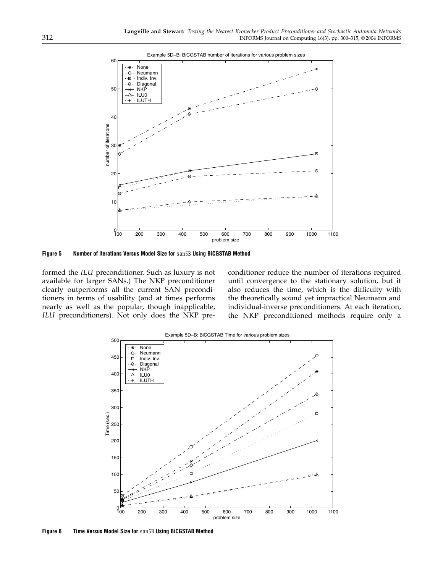

Figure 5 Number of Iterations Versus Model Size for san5B Using BiCGSTAB Method

formed the ILU preconditioner. Such as luxury is not available for larger SANs.) The NKP preconditioner clearly outperforms all the current SAN preconditioners in terms of usability (and at times performs nearly as well as the popular, though inapplicable, ILU preconditioners). Not only does the NKP preconditioner reduce the number of iterations required until convergence to the stationary solution, but it also reduces the time, which is the difficulty with the theoretically sound yet impractical Neumann and individual-inverse preconditioners. At each iteration, the NKP preconditioned methods require only a



Figure 6 Time Versus Model Size for san5B Using BiCGSTAB Method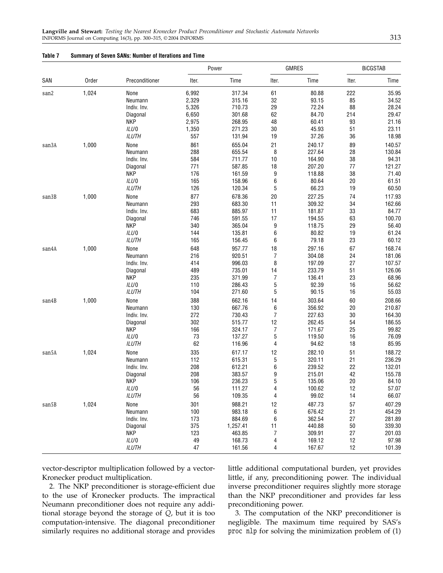#### Table 7 Summary of Seven SANs: Number of Iterations and Time

|       |       |                  |       | Power          |                | <b>GMRES</b> | <b>BICGSTAB</b> |        |  |
|-------|-------|------------------|-------|----------------|----------------|--------------|-----------------|--------|--|
| SAN   | Order | Preconditioner   | Iter. | Time           | Iter.          | Time         | Iter.           | Time   |  |
| san2  | 1,024 | None             | 6,992 | 317.34         | 61             | 80.88        | 222             | 35.95  |  |
|       |       | Neumann          | 2,329 | 315.16         | 32             | 93.15        | 85              | 34.52  |  |
|       |       | Indiv. Inv.      | 5,326 | 710.73         | 29             | 72.24        | 88              | 28.24  |  |
|       |       | Diagonal         | 6,650 | 301.68         | 62             | 84.70        | 214             | 29.47  |  |
|       |       | <b>NKP</b>       | 2,975 | 268.95         | 48             | 60.41        | 93              | 21.16  |  |
|       |       | ILU <sub>0</sub> | 1,350 | 271.23         | 30             | 45.93        | 51              | 23.11  |  |
|       |       | <b>ILUTH</b>     | 557   | 131.94         | 19             | 37.26        | 36              | 18.98  |  |
| san3A | 1,000 | None             | 861   | 655.04         | 21             | 240.17       | 89              | 140.57 |  |
|       |       | Neumann          | 288   | 655.54         | 8              | 227.64       | 28              | 130.84 |  |
|       |       | Indiv. Inv.      | 584   | 711.77         | 10             | 164.90       | 38              | 94.31  |  |
|       |       | Diagonal         | 771   | 587.85         | 18             | 207.20       | 77              | 121.27 |  |
|       |       | <b>NKP</b>       | 176   | 161.59         | 9              | 118.88       | 38              | 71.40  |  |
|       |       | ILU <sub>0</sub> | 165   | 158.96         | 6              | 80.64        | 20              | 61.51  |  |
|       |       | <b>ILUTH</b>     | 126   | 120.34         | 5              | 66.23        | 19              | 60.50  |  |
|       |       |                  |       |                |                |              |                 |        |  |
| san3B | 1,000 | None             | 877   | 678.36         | 20             | 227.25       | 74              | 117.93 |  |
|       |       | Neumann          | 293   | 683.30         | 11             | 309.32       | 34              | 162.66 |  |
|       |       | Indiv. Inv.      | 683   | 885.97         | 11             | 181.87       | 33              | 84.77  |  |
|       |       | Diagonal         | 746   | 591.55         | 17             | 194.55       | 63              | 100.70 |  |
|       |       | <b>NKP</b>       | 340   | 365.04         | 9              | 118.75       | 29              | 56.40  |  |
|       |       | ILU <sub>0</sub> | 144   | 135.81         | 6              | 80.82        | 19              | 61.24  |  |
|       |       | <b>ILUTH</b>     | 165   | 156.45         | 6              | 79.18        | 23              | 60.12  |  |
| san4A | 1,000 | None             | 648   | 957.77         | 18             | 297.16       | 67              | 168.74 |  |
|       |       | Neumann          | 216   | 920.51         | $\overline{7}$ | 304.08       | 24              | 181.06 |  |
|       |       | Indiv. Inv.      | 414   | 996.03         | 8              | 197.09       | 27              | 107.57 |  |
|       |       | Diagonal         | 489   | 735.01         | 14             | 233.79       | 51              | 126.06 |  |
|       |       | <b>NKP</b>       | 235   | 371.99         | 7              | 136.41       | 23              | 68.96  |  |
|       |       | ILU <sub>0</sub> | 110   | 286.43         | 5              | 92.39        | 16              | 56.62  |  |
|       |       | <b>ILUTH</b>     | 104   | 271.60         | 5              | 90.15        | 16              | 55.03  |  |
|       | 1,000 | None             | 388   | 662.16         | 14             | 303.64       | 60              | 208.66 |  |
| san4B |       |                  |       | 667.76         |                |              |                 |        |  |
|       |       | Neumann          | 130   |                | 6              | 356.92       | 20              | 210.87 |  |
|       |       | Indiv. Inv.      | 272   | 730.43         | 7              | 227.63       | 30              | 164.30 |  |
|       |       | Diagonal         | 302   | 515.77         | 12             | 262.45       | 54              | 186.55 |  |
|       |       | <b>NKP</b>       | 166   | 324.17         | $\overline{7}$ | 171.67       | 25              | 99.82  |  |
|       |       | ILU <sub>0</sub> | 73    | 137.27         | 5              | 119.50       | 16              | 76.09  |  |
|       |       | <b>ILUTH</b>     | 62    | 116.96         | 4              | 94.62        | 18              | 85.95  |  |
| san5A | 1,024 | None             | 335   | 617.17         | 12             | 282.10       | 51              | 188.72 |  |
|       |       | Neumann          | 112   | 615.31         | 5              | 320.11       | 21              | 236.29 |  |
|       |       | Indiv. Inv.      | 208   | 612.21         | 6              | 239.52       | 22              | 132.01 |  |
|       |       | Diagonal         | 208   | 383.57         | 9              | 215.01       | 42              | 155.78 |  |
|       |       | <b>NKP</b>       | 106   | 236.23         | 5              | 135.06       | 20              | 84.10  |  |
|       |       | ILU 0            | 56    | 111.2 <i>(</i> | 4              | 100.62       | 12              | 57.07  |  |
|       |       | <b>ILUTH</b>     | 56    | 109.35         | 4              | 99.02        | 14              | 66.07  |  |
| san5B | 1,024 | None             | 301   | 988.21         | 12             | 487.73       | 57              | 407.29 |  |
|       |       | Neumann          | 100   | 983.18         | 6              | 676.42       | 21              | 454.29 |  |
|       |       | Indiv. Inv.      | 173   | 884.69         | 6              | 362.54       | 27              | 281.89 |  |
|       |       | Diagonal         | 375   | 1,257.41       | 11             | 440.88       | $50\,$          | 339.30 |  |
|       |       | <b>NKP</b>       | 123   | 463.85         | 7              | 309.91       |                 | 201.03 |  |
|       |       |                  |       |                |                |              | 27              |        |  |
|       |       | ILU <sub>0</sub> | 49    | 168.73         | 4              | 169.12       | 12              | 97.98  |  |
|       |       | <b>ILUTH</b>     | 47    | 161.56         | 4              | 167.67       | 12              | 101.39 |  |

vector-descriptor multiplication followed by a vector-Kronecker product multiplication.

2. The NKP preconditioner is storage-efficient due to the use of Kronecker products. The impractical Neumann preconditioner does not require any additional storage beyond the storage of Q, but it is too computation-intensive. The diagonal preconditioner similarly requires no additional storage and provides little additional computational burden, yet provides little, if any, preconditioning power. The individual inverse preconditioner requires slightly more storage than the NKP preconditioner and provides far less preconditioning power.

3. The computation of the NKP preconditioner is negligible. The maximum time required by SAS's proc nlp for solving the minimization problem of (1)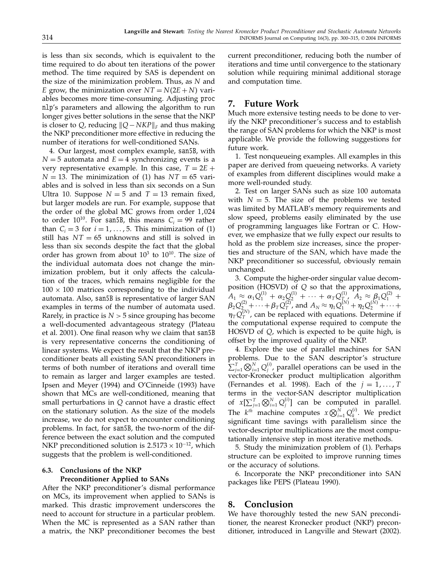is less than six seconds, which is equivalent to the time required to do about ten iterations of the power method. The time required by SAS is dependent on the size of the minimization problem. Thus, as  $N$  and E grow, the minimization over  $NT = N(2E + N)$  variables becomes more time-consuming. Adjusting proc nlp's parameters and allowing the algorithm to run longer gives better solutions in the sense that the NKP is closer to *Q*, reducing  $||Q - NKP||_F$  and thus making the NKP preconditioner more effective in reducing the number of iterations for well-conditioned SANs.

4. Our largest, most complex example, san5B, with  $N = 5$  automata and  $E = 4$  synchronizing events is a very representative example. In this case,  $T = 2E +$  $N = 13$ . The minimization of (1) has  $NT = 65$  variables and is solved in less than six seconds on a Sun Ultra 10. Suppose  $N = 5$  and  $T = 13$  remain fixed, but larger models are run. For example, suppose that the order of the global MC grows from order  $1,024$ to order 10<sup>10</sup>. For san5B, this means  $C_i = 99$  rather than  $C_i = 3$  for  $i = 1, \ldots, 5$ . This minimization of (1) still has  $NT = 65$  unknowns and still is solved in less than six seconds despite the fact that the global order has grown from about  $10^3$  to  $10^{10}$ . The size of the individual automata does not change the minimization problem, but it only affects the calculation of the traces, which remains negligible for the  $100 \times 100$  matrices corresponding to the individual automata. Also, san5B is representative of larger SAN examples in terms of the number of automata used. Rarely, in practice is  $N > 5$  since grouping has become a well-documented advantageous strategy (Plateau et al. 2001). One final reason why we claim that san5B is very representative concerns the conditioning of linear systems. We expect the result that the NKP preconditioner beats all existing SAN preconditioners in terms of both number of iterations and overall time to remain as larger and larger examples are tested. Ipsen and Meyer (1994) and O'Cinneide (1993) have shown that MCs are well-conditioned, meaning that small perturbations in Q cannot have a drastic effect on the stationary solution. As the size of the models increase, we do not expect to encounter conditioning problems. In fact, for san5B, the two-norm of the difference between the exact solution and the computed NKP preconditioned solution is  $2.5173 \times 10^{-12}$ , which suggests that the problem is well-conditioned.

### 6.3. Conclusions of the NKP Preconditioner Applied to SANs

After the NKP preconditioner's dismal performance on MCs, its improvement when applied to SANs is marked. This drastic improvement underscores the need to account for structure in a particular problem. When the MC is represented as a SAN rather than a matrix, the NKP preconditioner becomes the best current preconditioner, reducing both the number of iterations and time until convergence to the stationary solution while requiring minimal additional storage and computation time.

# 7. Future Work

Much more extensive testing needs to be done to verify the NKP preconditioner's success and to establish the range of SAN problems for which the NKP is most applicable. We provide the following suggestions for future work.

1. Test nonqueueing examples. All examples in this paper are derived from queueing networks. A variety of examples from different disciplines would make a more well-rounded study.

2. Test on larger SANs such as size 100 automata with  $N = 5$ . The size of the problems we tested was limited by MATLAB's memory requirements and slow speed, problems easily eliminated by the use of programming languages like Fortran or C. However, we emphasize that we fully expect our results to hold as the problem size increases, since the properties and structure of the SAN, which have made the NKP preconditioner so successful, obviously remain unchanged.

3. Compute the higher-order singular value decomposition (HOSVD) of Q so that the approximations,  $A_1 \approx \alpha_1 Q_1^{(1)} + \alpha_2 Q_2^{(1)} + \cdots + \alpha_T Q_T^{(1)}$ ,  $A_2 \approx \beta_1 Q_1^{(2)} + \beta_2 Q_2^{(2)} + \cdots + \beta_T Q_T^{(2)}$ , and  $A_N \approx \eta_1 Q_1^{(N)} + \eta_2 Q_2^{(N)} + \cdots + \beta_T Q_T^{(N)}$  $\eta_T Q_T^{(N)}$ , can be replaced with equations. Determine if the computational expense required to compute the HOSVD of Q, which is expected to be quite high, is offset by the improved quality of the NKP.

4. Explore the use of parallel machines for SAN problems. Due to the SAN descriptor's structure  $\sum_{j=1}^{T} \bigotimes_{i=1}^{N} Q_j^{(i)}$ , parallel operations can be used in the vector-Kronecker product multiplication algorithm (Fernandes et al. 1998). Each of the  $j = 1, \dots, T$ terms in the vector-SAN descriptor multiplication of  $x[\sum_{j=1}^T \bigotimes_{i=1}^N Q_j^{(i)}]$  can be computed in parallel. The  $k^{th}$  machine computes  $x \bigotimes_{i=1}^{N} Q_k^{(i)}$ . We predict significant time savings with parallelism since the vector-descriptor multiplications are the most computationally intensive step in most iterative methods.

5. Study the minimization problem of (1). Perhaps structure can be exploited to improve running times or the accuracy of solutions.

6. Incorporate the NKP preconditioner into SAN packages like PEPS (Plateau 1990).

## 8. Conclusion

We have thoroughly tested the new SAN preconditioner, the nearest Kronecker product (NKP) preconditioner, introduced in Langville and Stewart (2002).